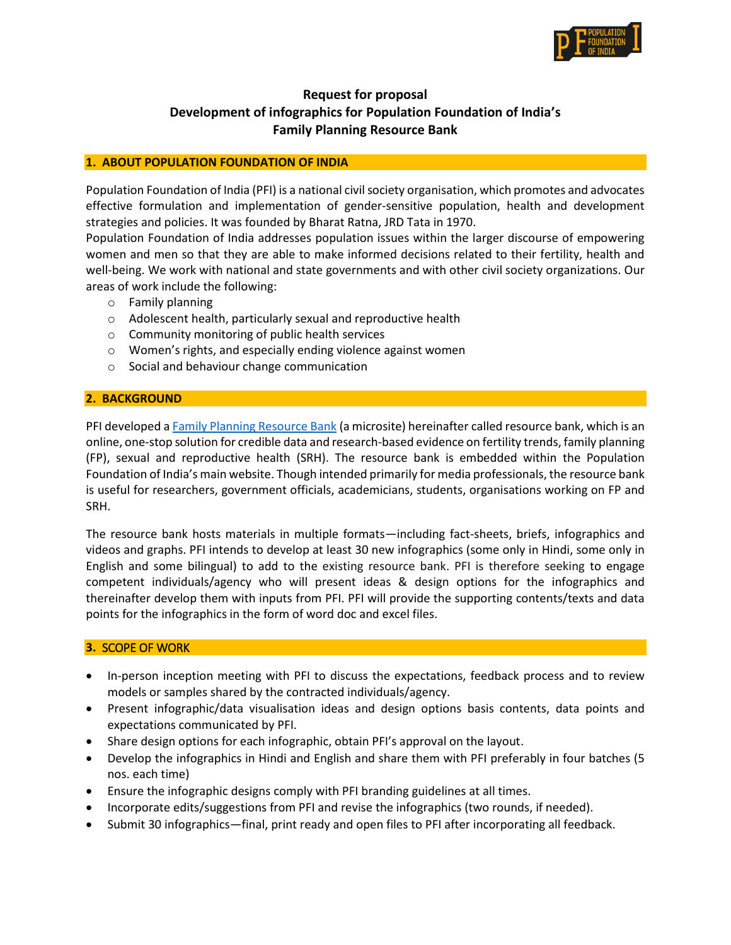

# **Request for proposal Development of infographics for Population Foundation of India's Family Planning Resource Bank**

### **1. ABOUT POPULATION FOUNDATION OF INDIA**

Population Foundation of India (PFI) is a national civil society organisation, which promotes and advocates effective formulation and implementation of gender-sensitive population, health and development strategies and policies. It was founded by Bharat Ratna, JRD Tata in 1970.

Population Foundation of India addresses population issues within the larger discourse of empowering women and men so that they are able to make informed decisions related to their fertility, health and well-being. We work with national and state governments and with other civil society organizations. Our areas of work include the following:

- o Family planning
- o Adolescent health, particularly sexual and reproductive health
- o Community monitoring of public health services
- o Women's rights, and especially ending violence against women
- o Social and behaviour change communication

### **2. BACKGROUND**

PFI developed [a Family Planning Resource Bank](https://populationfoundation.in/fp-resources/) (a microsite) hereinafter called resource bank, which is an online, one-stop solution for credible data and research-based evidence on fertility trends, family planning (FP), sexual and reproductive health (SRH). The resource bank is embedded within the Population Foundation of India's main website. Though intended primarily for media professionals, the resource bank is useful for researchers, government officials, academicians, students, organisations working on FP and SRH.

The resource bank hosts materials in multiple formats—including fact-sheets, briefs, infographics and videos and graphs. PFI intends to develop at least 30 new infographics (some only in Hindi, some only in English and some bilingual) to add to the existing resource bank. PFI is therefore seeking to engage competent individuals/agency who will present ideas & design options for the infographics and thereinafter develop them with inputs from PFI. PFI will provide the supporting contents/texts and data points for the infographics in the form of word doc and excel files.

#### **3.** SCOPE OF WORK

- In-person inception meeting with PFI to discuss the expectations, feedback process and to review models or samples shared by the contracted individuals/agency.
- Present infographic/data visualisation ideas and design options basis contents, data points and expectations communicated by PFI.
- Share design options for each infographic, obtain PFI's approval on the layout.
- Develop the infographics in Hindi and English and share them with PFI preferably in four batches (5 nos. each time)
- Ensure the infographic designs comply with PFI branding guidelines at all times.
- Incorporate edits/suggestions from PFI and revise the infographics (two rounds, if needed).
- Submit 30 infographics—final, print ready and open files to PFI after incorporating all feedback.